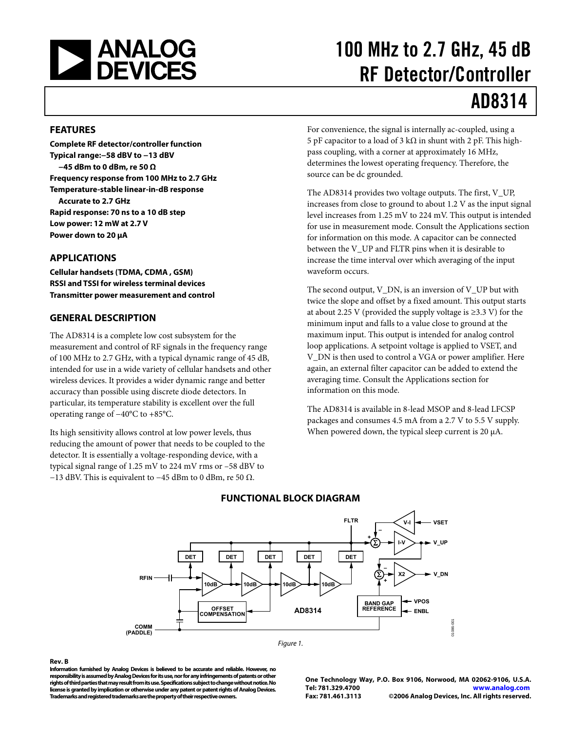<span id="page-0-0"></span>

# 100 MHz to 2.7 GHz, 45 dB RF Detector/Controller

# AD8314

#### **FEATURES**

**Complete RF detector/controller function Typical range:−58 dBV to −13 dBV −45 dBm to 0 dBm, re 50 Ω Frequency response from 100 MHz to 2.7 GHz Temperature-stable linear-in-dB response Accurate to 2.7 GHz Rapid response: 70 ns to a 10 dB step Low power: 12 mW at 2.7 V Power down to 20 μA** 

### **APPLICATIONS**

**Cellular handsets (TDMA, CDMA , GSM) RSSI and TSSI for wireless terminal devices Transmitter power measurement and control** 

### **GENERAL DESCRIPTION**

The AD8314 is a complete low cost subsystem for the measurement and control of RF signals in the frequency range of 100 MHz to 2.7 GHz, with a typical dynamic range of 45 dB, intended for use in a wide variety of cellular handsets and other wireless devices. It provides a wider dynamic range and better accuracy than possible using discrete diode detectors. In particular, its temperature stability is excellent over the full operating range of −40°C to +85°C.

Its high sensitivity allows control at low power levels, thus reducing the amount of power that needs to be coupled to the detector. It is essentially a voltage-responding device, with a typical signal range of 1.25 mV to 224 mV rms or –58 dBV to −13 dBV. This is equivalent to −45 dBm to 0 dBm, re 50  $\Omega$ .

For convenience, the signal is internally ac-coupled, using a 5 pF capacitor to a load of 3 kΩ in shunt with 2 pF. This highpass coupling, with a corner at approximately 16 MHz, determines the lowest operating frequency. Therefore, the source can be dc grounded.

The AD8314 provides two voltage outputs. The first, V\_UP, increases from close to ground to about 1.2 V as the input signal level increases from 1.25 mV to 224 mV. This output is intended for use in measurement mode. Consult the [Applications](#page-12-0) section for information on this mode. A capacitor can be connected between the V\_UP and FLTR pins when it is desirable to increase the time interval over which averaging of the input waveform occurs.

The second output, V\_DN, is an inversion of V\_UP but with twice the slope and offset by a fixed amount. This output starts at about 2.25 V (provided the supply voltage is  $\geq$ 3.3 V) for the minimum input and falls to a value close to ground at the maximum input. This output is intended for analog control loop applications. A setpoint voltage is applied to VSET, and V\_DN is then used to control a VGA or power amplifier. Here again, an external filter capacitor can be added to extend the averaging time. Consult the [Applications](#page-12-0) section for information on this mode.

The AD8314 is available in 8-lead MSOP and 8-lead LFCSP packages and consumes 4.5 mA from a 2.7 V to 5.5 V supply. When powered down, the typical sleep current is 20 μA.



## **FUNCTIONAL BLOCK DIAGRAM**

#### Figure 1.

#### **Rev. B**

**Information furnished by Analog Devices is believed to be accurate and reliable. However, no responsibility is assumed by Analog Devices for its use, nor for any infringements of patents or other rights of third parties that may result from its use. Specifications subject to change without notice. No license is granted by implication or otherwise under any patent or patent rights of Analog Devices. Trademarks and registered trademarks are the property of their respective owners.** 

**One Technology Way, P.O. Box 9106, Norwood, MA 02062-9106, U.S.A. Tel: 781.329.4700 www.analog.com Fax: 781.461.3113 ©2006 Analog Devices, Inc. All rights reserved.**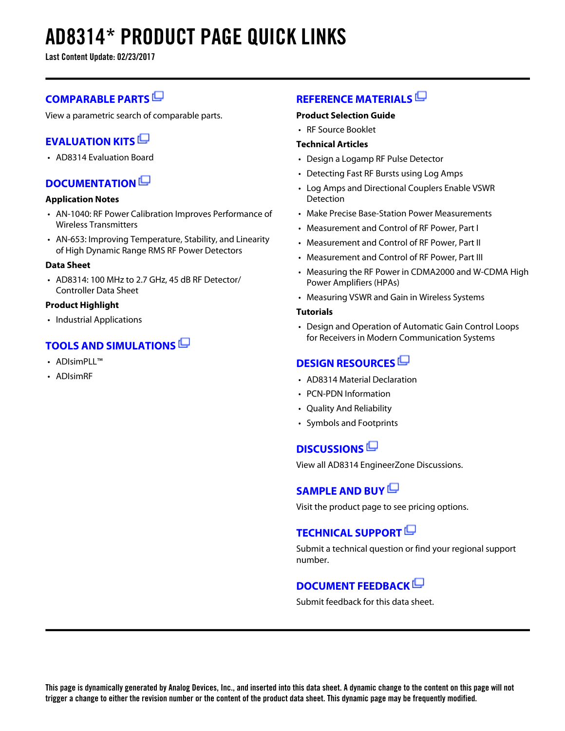# **AD8314\* PRODUCT PAGE QUICK LINKS**

**Last Content Update: 02/23/2017**

# **[COMPARABLE PARTS](http://www.analog.com/parametricsearch/en/10702?doc=AD8314.pdf&p0=1&lsrc=pst)**

View a parametric search of comparable parts.

# **[EVALUATION KITS](http://www.analog.com/ad8314/evalkits?doc=AD8314.pdf&p0=1&lsrc=ek)**

• AD8314 Evaluation Board

# **[DOCUMENTATION](http://www.analog.com/ad8314/documentation?doc=AD8314.pdf&p0=1&lsrc=doc)**

### **Application Notes**

- AN-1040: RF Power Calibration Improves Performance of Wireless Transmitters
- AN-653: Improving Temperature, Stability, and Linearity of High Dynamic Range RMS RF Power Detectors

### **Data Sheet**

• AD8314: 100 MHz to 2.7 GHz, 45 dB RF Detector/ Controller Data Sheet

### **Product Highlight**

• Industrial Applications

# **[TOOLS AND SIMULATIONS](http://www.analog.com/ad8314/tools?doc=AD8314.pdf&p0=1&lsrc=tools)**

- ADIsimPLI™
- ADIsimRF

# **[REFERENCE MATERIALS](http://www.analog.com/ad8314/referencematerials?doc=AD8314.pdf&p0=1&lsrc=rm)**

#### **Product Selection Guide**

• RF Source Booklet

### **Technical Articles**

- Design a Logamp RF Pulse Detector
- Detecting Fast RF Bursts using Log Amps
- Log Amps and Directional Couplers Enable VSWR **Detection**
- Make Precise Base-Station Power Measurements
- Measurement and Control of RF Power, Part I
- Measurement and Control of RF Power, Part II
- Measurement and Control of RF Power, Part III
- Measuring the RF Power in CDMA2000 and W-CDMA High Power Amplifiers (HPAs)
- Measuring VSWR and Gain in Wireless Systems

### **Tutorials**

• Design and Operation of Automatic Gain Control Loops for Receivers in Modern Communication Systems

# **[DESIGN RESOURCES](http://www.analog.com/ad8314/designsources?doc=AD8314.pdf&p0=1&lsrc=dr)**

- AD8314 Material Declaration
- PCN-PDN Information
- Quality And Reliability
- Symbols and Footprints

# **[DISCUSSIONS](http://www.analog.com/ad8314/discussions?doc=AD8314.pdf&p0=1&lsrc=disc)**

View all AD8314 EngineerZone Discussions.

# **[SAMPLE AND BUY](http://www.analog.com/ad8314/sampleandbuy?doc=AD8314.pdf&p0=1&lsrc=sb)**

Visit the product page to see pricing options.

# **[TECHNICAL SUPPORT](http://www.analog.com/support/technical-support.html?doc=AD8314.pdf&p0=1&lsrc=techs)**

Submit a technical question or find your regional support number.

# **[DOCUMENT FEEDBACK](https://form.analog.com/Form_Pages/feedback/documentfeedback.aspx?doc=AD8314.pdf&product=AD8314&p0=1&lsrc=dfs)**

Submit feedback for this data sheet.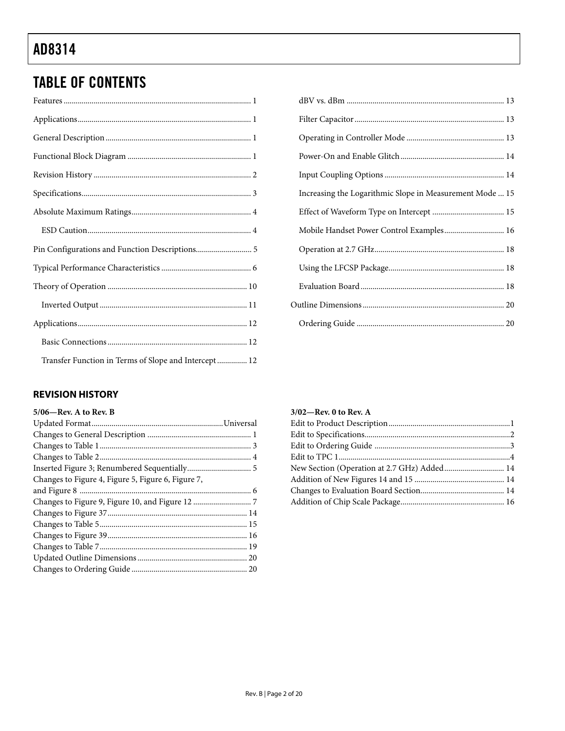# <span id="page-2-0"></span>**TABLE OF CONTENTS**

| Transfer Function in Terms of Slope and Intercept 12 |
|------------------------------------------------------|

| Increasing the Logarithmic Slope in Measurement Mode  15 |  |
|----------------------------------------------------------|--|
|                                                          |  |
| Mobile Handset Power Control Examples 16                 |  |
|                                                          |  |
|                                                          |  |
|                                                          |  |
|                                                          |  |
|                                                          |  |

## **REVISION HISTORY**

| $5/06$ —Rev. A to Rev. B                           |  |
|----------------------------------------------------|--|
|                                                    |  |
|                                                    |  |
|                                                    |  |
|                                                    |  |
|                                                    |  |
| Changes to Figure 4, Figure 5, Figure 6, Figure 7, |  |
|                                                    |  |
|                                                    |  |
|                                                    |  |
|                                                    |  |
|                                                    |  |
|                                                    |  |
|                                                    |  |
|                                                    |  |

| $3/02$ —Rev. 0 to Rev. A |  |
|--------------------------|--|
|                          |  |
|                          |  |
|                          |  |
|                          |  |
|                          |  |
|                          |  |
|                          |  |
|                          |  |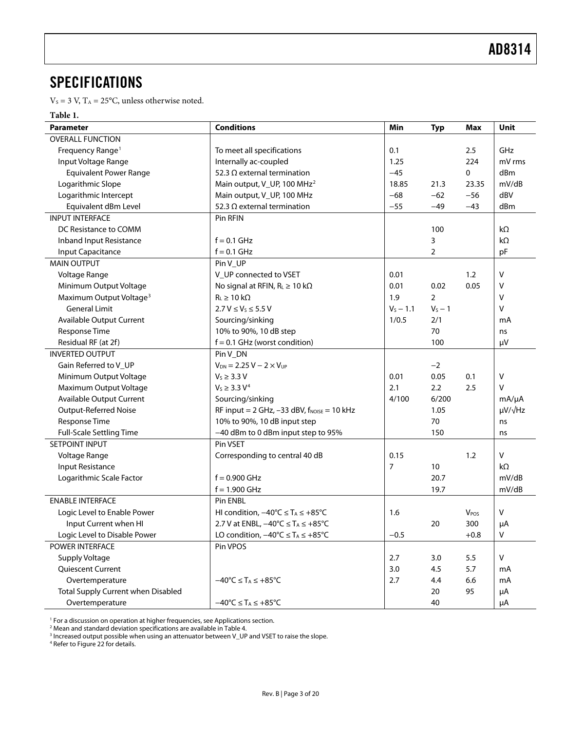# <span id="page-3-0"></span>**SPECIFICATIONS**

 $\rm V_S$  = 3 V,  $\rm T_A$  = 25°C, unless otherwise noted.

#### **Table 1.**

| <b>Parameter</b>                    | <b>Conditions</b>                                        | Min            | <b>Typ</b>     | <b>Max</b>       | Unit                |
|-------------------------------------|----------------------------------------------------------|----------------|----------------|------------------|---------------------|
| <b>OVERALL FUNCTION</b>             |                                                          |                |                |                  |                     |
| Frequency Range <sup>1</sup>        | To meet all specifications                               | 0.1            |                | 2.5              | GHz                 |
| Input Voltage Range                 | Internally ac-coupled                                    | 1.25           |                | 224              | mV rms              |
| <b>Equivalent Power Range</b>       | 52.3 $\Omega$ external termination                       | $-45$          |                | 0                | dBm                 |
| Logarithmic Slope                   | Main output, V_UP, 100 MHz <sup>2</sup>                  | 18.85          | 21.3           | 23.35            | mV/dB               |
| Logarithmic Intercept               | Main output, V_UP, 100 MHz                               | $-68$          | $-62$          | $-56$            | dBV                 |
| Equivalent dBm Level                | 52.3 $\Omega$ external termination                       | $-55$          | $-49$          | $-43$            | dBm                 |
| <b>INPUT INTERFACE</b>              | Pin RFIN                                                 |                |                |                  |                     |
| DC Resistance to COMM               |                                                          |                | 100            |                  | $k\Omega$           |
| Inband Input Resistance             | $f = 0.1$ GHz                                            |                | 3              |                  | $k\Omega$           |
| Input Capacitance                   | $f = 0.1$ GHz                                            |                | $\overline{2}$ |                  | pF                  |
| <b>MAIN OUTPUT</b>                  | Pin V_UP                                                 |                |                |                  |                     |
| Voltage Range                       | V_UP connected to VSET                                   | 0.01           |                | 1.2              | V                   |
| Minimum Output Voltage              | No signal at RFIN, $R_L \ge 10$ k $\Omega$               | 0.01           | 0.02           | 0.05             | v                   |
| Maximum Output Voltage <sup>3</sup> | $R_L \geq 10 k\Omega$                                    | 1.9            | $\overline{2}$ |                  | v                   |
| <b>General Limit</b>                | $2.7 V \le V_5 \le 5.5 V$                                | $V_s - 1.1$    | $V_S - 1$      |                  | v                   |
| <b>Available Output Current</b>     | Sourcing/sinking                                         | 1/0.5          | 2/1            |                  | mA                  |
| Response Time                       | 10% to 90%, 10 dB step                                   |                | 70             |                  | ns                  |
| Residual RF (at 2f)                 | $f = 0.1$ GHz (worst condition)                          |                | 100            |                  | μV                  |
| <b>INVERTED OUTPUT</b>              | Pin V_DN                                                 |                |                |                  |                     |
| Gain Referred to V_UP               | $V_{DN} = 2.25 V - 2 \times V_{UP}$                      |                | $-2$           |                  |                     |
| Minimum Output Voltage              | $V_s \geq 3.3 V$                                         | 0.01           | 0.05           | 0.1              | V                   |
| Maximum Output Voltage              | $V_S \geq 3.3 V^4$                                       | 2.1            | 2.2            | 2.5              | V                   |
| <b>Available Output Current</b>     | Sourcing/sinking                                         | 4/100          | 6/200          |                  | $mA/\mu A$          |
| <b>Output-Referred Noise</b>        | RF input = $2$ GHz, -33 dBV, $f_{\text{NOISE}} = 10$ kHz |                | 1.05           |                  | $\mu V / \sqrt{Hz}$ |
| Response Time                       | 10% to 90%, 10 dB input step                             |                | 70             |                  | ns                  |
| <b>Full-Scale Settling Time</b>     | -40 dBm to 0 dBm input step to 95%                       |                | 150            |                  | ns                  |
| SETPOINT INPUT                      | Pin VSET                                                 |                |                |                  |                     |
| Voltage Range                       | Corresponding to central 40 dB                           | 0.15           |                | 1.2              | V                   |
| <b>Input Resistance</b>             |                                                          | $\overline{7}$ | 10             |                  | $k\Omega$           |
| Logarithmic Scale Factor            | $f = 0.900$ GHz                                          |                | 20.7           |                  | mV/dB               |
|                                     | $f = 1.900$ GHz                                          |                | 19.7           |                  | mV/dB               |
| <b>ENABLE INTERFACE</b>             | Pin ENBL                                                 |                |                |                  |                     |
| Logic Level to Enable Power         | HI condition, $-40^{\circ}C \leq T_A \leq +85^{\circ}C$  | 1.6            |                | V <sub>POS</sub> | V                   |
| Input Current when HI               | 2.7 V at ENBL, $-40^{\circ}C \leq T_A \leq +85^{\circ}C$ |                | 20             | 300              | μA                  |
| Logic Level to Disable Power        | LO condition, $-40^{\circ}C \leq T_A \leq +85^{\circ}C$  | $-0.5$         |                | $+0.8$           | $\mathsf{V}$        |
| POWER INTERFACE                     | Pin VPOS                                                 |                |                |                  |                     |
| Supply Voltage                      |                                                          | 2.7            | 3.0            | 5.5              | V                   |
| Quiescent Current                   |                                                          | 3.0            | 4.5            | 5.7              | mA                  |
| Overtemperature                     | $-40^{\circ}C \leq T_A \leq +85^{\circ}C$                | 2.7            | 4.4            | 6.6              | mA                  |
| Total Supply Current when Disabled  |                                                          |                | 20             | 95               | μA                  |
| Overtemperature                     | $-40^{\circ}C \leq T_A \leq +85^{\circ}C$                |                | 40             |                  | μA                  |

<sup>1</sup> For a discussion on operation at higher frequencies, see Applications section.

<sup>2</sup> Mean and standard deviation specifications are available in Table 4.

3 Increased output possible when using an attenuator between V\_UP and VSET to raise the slope. 4 Refer to [Figure 22 f](#page-9-0)or details.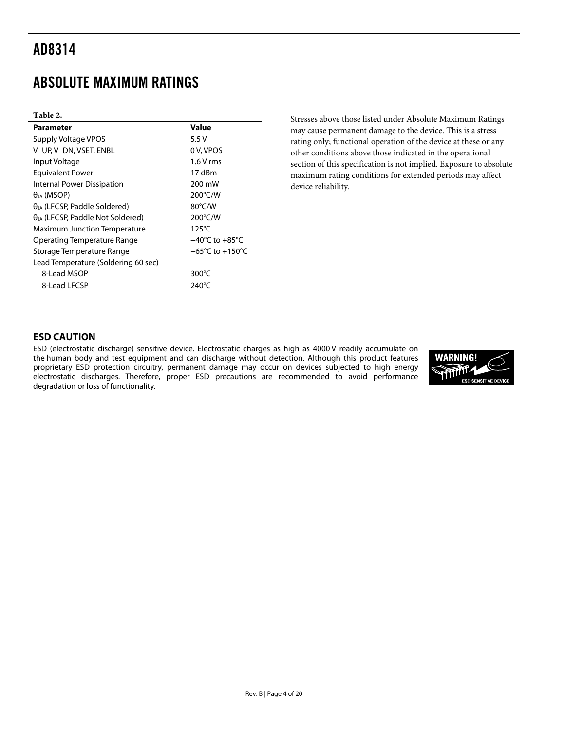# <span id="page-4-0"></span>ABSOLUTE MAXIMUM RATINGS

#### **Table 2.**

| <b>Parameter</b>                           | <b>Value</b>                         |
|--------------------------------------------|--------------------------------------|
| Supply Voltage VPOS                        | 5.5V                                 |
| V UP, V DN, VSET, ENBL                     | 0 V, VPOS                            |
| Input Voltage                              | $1.6V$ rms                           |
| <b>Equivalent Power</b>                    | 17 dBm                               |
| Internal Power Dissipation                 | 200 mW                               |
| $\theta_{IA}$ (MSOP)                       | 200°C/W                              |
| $\theta_{JA}$ (LFCSP, Paddle Soldered)     | 80°C/W                               |
| $\theta_{IA}$ (LFCSP, Paddle Not Soldered) | 200°C/W                              |
| <b>Maximum Junction Temperature</b>        | $125^{\circ}$ C                      |
| Operating Temperature Range                | $-40^{\circ}$ C to $+85^{\circ}$ C   |
| Storage Temperature Range                  | $-65^{\circ}$ C to +150 $^{\circ}$ C |
| Lead Temperature (Soldering 60 sec)        |                                      |
| 8-Lead MSOP                                | $300^{\circ}$ C                      |
| 8-Lead LFCSP                               | 240°C                                |

Stresses above those listed under Absolute Maximum Ratings may cause permanent damage to the device. This is a stress rating only; functional operation of the device at these or any other conditions above those indicated in the operational section of this specification is not implied. Exposure to absolute maximum rating conditions for extended periods may affect device reliability.

### **ESD CAUTION**

ESD (electrostatic discharge) sensitive device. Electrostatic charges as high as 4000 V readily accumulate on the human body and test equipment and can discharge without detection. Although this product features proprietary ESD protection circuitry, permanent damage may occur on devices subjected to high energy electrostatic discharges. Therefore, proper ESD precautions are recommended to avoid performance degradation or loss of functionality.

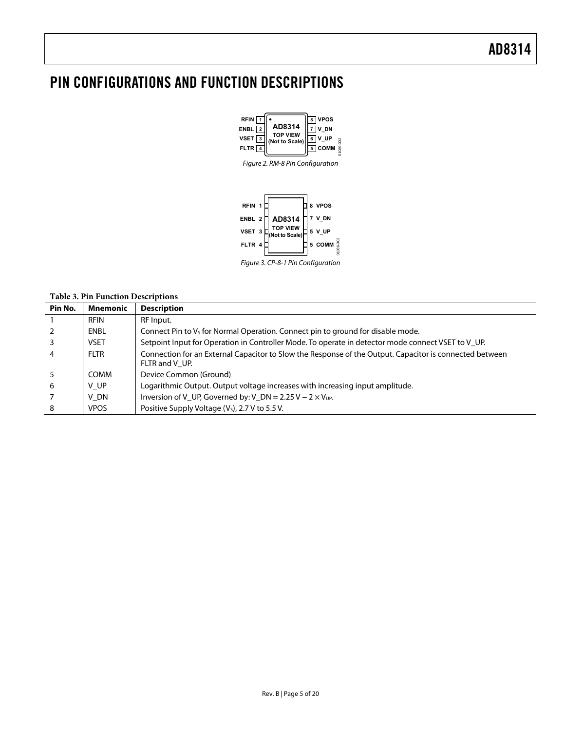# <span id="page-5-0"></span>PIN CONFIGURATIONS AND FUNCTION DESCRIPTIONS





# Figure 3. CP-8-1 Pin Configuration

#### **Table 3. Pin Function Descriptions**

| Pin No.        | <b>Mnemonic</b> | <b>Description</b>                                                                                                        |
|----------------|-----------------|---------------------------------------------------------------------------------------------------------------------------|
|                | <b>RFIN</b>     | RF Input.                                                                                                                 |
| 2              | ENBL            | Connect Pin to $V_5$ for Normal Operation. Connect pin to ground for disable mode.                                        |
| $\overline{3}$ | <b>VSET</b>     | Setpoint Input for Operation in Controller Mode. To operate in detector mode connect VSET to V UP.                        |
| $\overline{a}$ | <b>FLTR</b>     | Connection for an External Capacitor to Slow the Response of the Output. Capacitor is connected between<br>FLTR and V UP. |
| 5              | COMM            | Device Common (Ground)                                                                                                    |
| 6              | V UP            | Logarithmic Output. Output voltage increases with increasing input amplitude.                                             |
|                | V DN            | Inversion of V_UP, Governed by: V_DN = $2.25$ V – $2 \times V_{UP}$ .                                                     |
| 8              | <b>VPOS</b>     | Positive Supply Voltage (V <sub>s</sub> ), 2.7 V to 5.5 V.                                                                |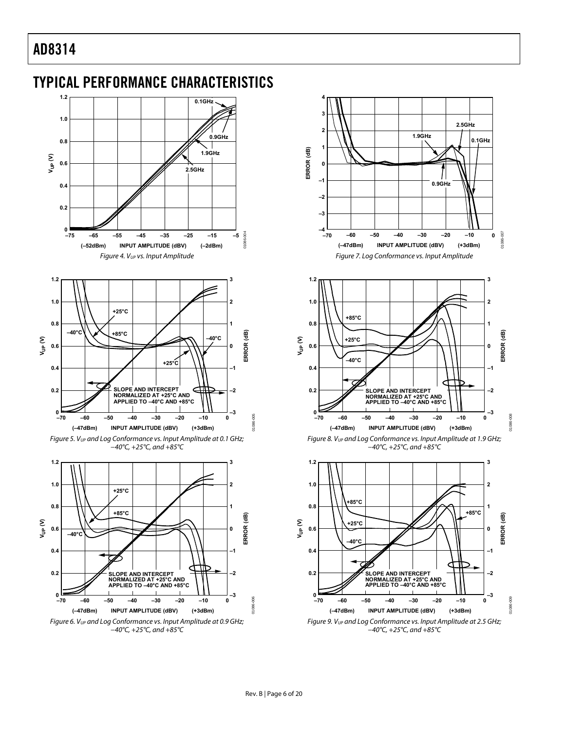<span id="page-6-1"></span><span id="page-6-0"></span>

<span id="page-6-3"></span><span id="page-6-2"></span>Figure 6. V<sub>UP</sub> and Log Conformance vs. Input Amplitude at 0.9 GHz; −40°C, +25°C, and +85°C



Rev. B | Page 6 of 20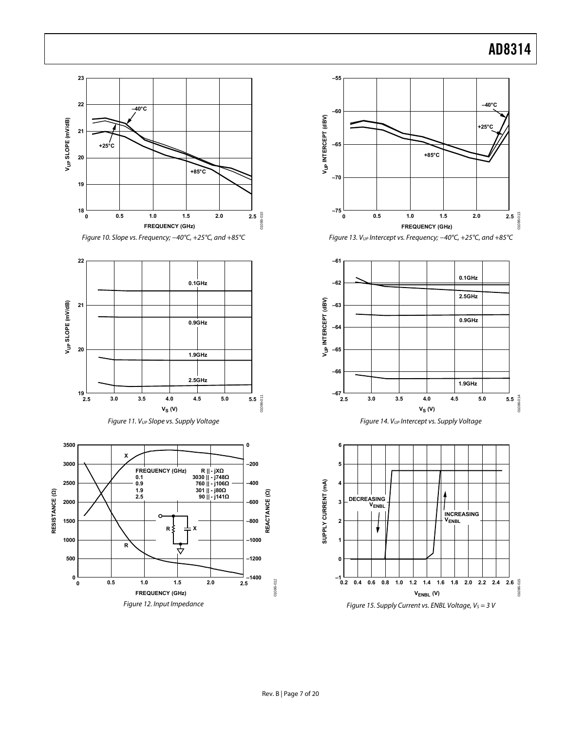<span id="page-7-2"></span><span id="page-7-1"></span><span id="page-7-0"></span>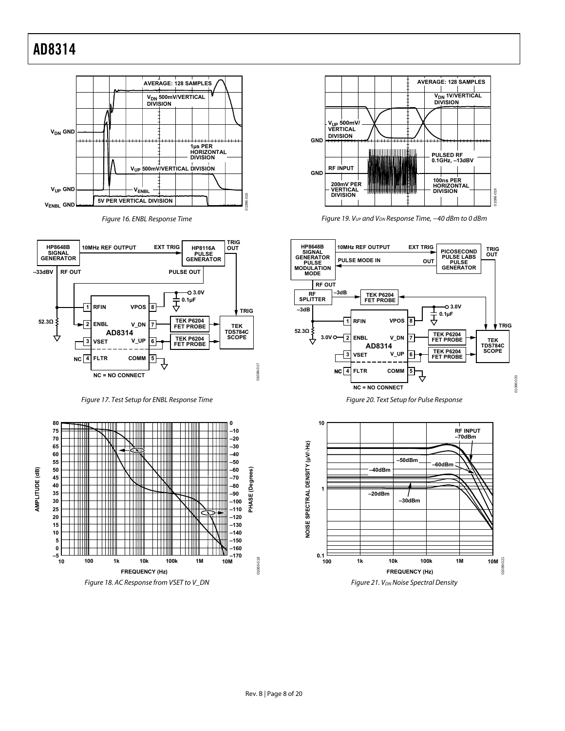

Figure 16. ENBL Response Time

<span id="page-8-0"></span>

Figure 17. Test Setup for ENBL Response Time







Figure 19. V<sub>UP</sub> and V<sub>DN</sub> Response Time, -40 dBm to 0 dBm



Figure 20. Text Setup for Pulse Response

01086-020



Figure 21. V<sub>DN</sub> Noise Spectral Density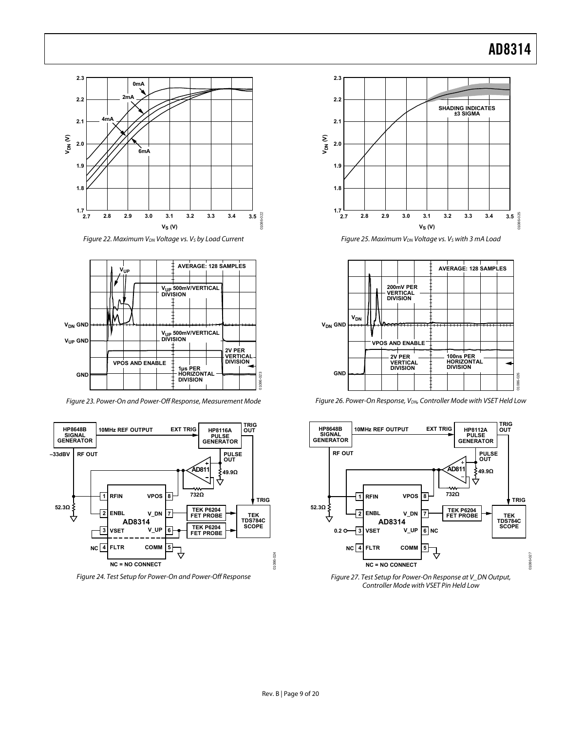<span id="page-9-0"></span>

Figure 22. Maximum V<sub>DN</sub> Voltage vs. V<sub>S</sub> by Load Current

<span id="page-9-1"></span>

Figure 23. Power-On and Power-Off Response, Measurement Mode

<span id="page-9-2"></span>

Figure 24. Test Setup for Power-On and Power-Off Response



Figure 25. Maximum V<sub>DN</sub> Voltage vs. V<sub>s</sub> with 3 mA Load



Figure 26. Power-On Response, V<sub>DN</sub>, Controller Mode with VSET Held Low



Figure 27. Test Setup for Power-On Response at V\_DN Output, Controller Mode with VSET Pin Held Low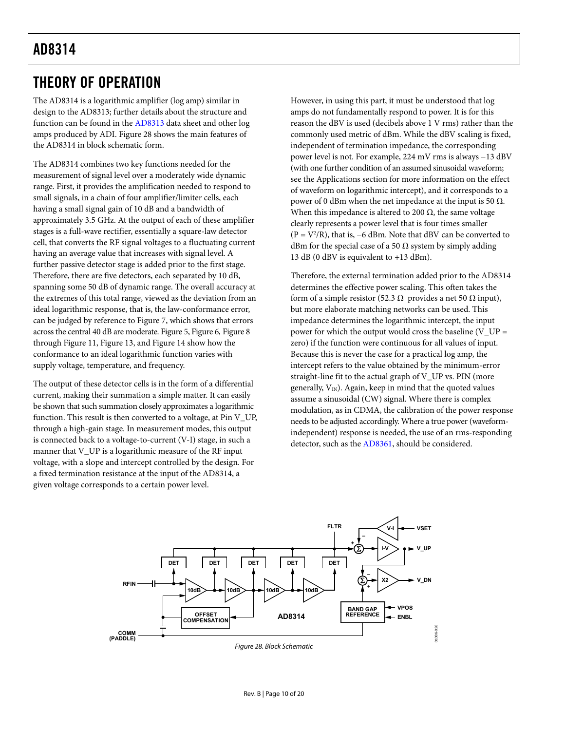# <span id="page-10-0"></span>THEORY OF OPERATION

The AD8314 is a logarithmic amplifier (log amp) similar in design to the AD8313; further details about the structure and function can be found in the [AD8313](http://www.analog.com/en/prod/0%2C2877%2CAD8313%2C00.html) data sheet and other log amps produced by ADI. [Figure 28](#page-10-1) shows the main features of the AD8314 in block schematic form.

The AD8314 combines two key functions needed for the measurement of signal level over a moderately wide dynamic range. First, it provides the amplification needed to respond to small signals, in a chain of four amplifier/limiter cells, each having a small signal gain of 10 dB and a bandwidth of approximately 3.5 GHz. At the output of each of these amplifier stages is a full-wave rectifier, essentially a square-law detector cell, that converts the RF signal voltages to a fluctuating current having an average value that increases with signal level. A further passive detector stage is added prior to the first stage. Therefore, there are five detectors, each separated by 10 dB, spanning some 50 dB of dynamic range. The overall accuracy at the extremes of this total range, viewed as the deviation from an ideal logarithmic response, that is, the law-conformance error, can be judged by reference to [Figure 7,](#page-6-1) which shows that errors across the central 40 dB are moderate. [Figure 5,](#page-6-2) [Figure 6](#page-6-3), [Figure 8](#page-6-2) through [Figure 11](#page-7-0), [Figure 13](#page-7-1), and [Figure 14](#page-7-0) show how the conformance to an ideal logarithmic function varies with supply voltage, temperature, and frequency.

The output of these detector cells is in the form of a differential current, making their summation a simple matter. It can easily be shown that such summation closely approximates a logarithmic function. This result is then converted to a voltage, at Pin V\_UP, through a high-gain stage. In measurement modes, this output is connected back to a voltage-to-current (V-I) stage, in such a manner that V\_UP is a logarithmic measure of the RF input voltage, with a slope and intercept controlled by the design. For a fixed termination resistance at the input of the AD8314, a given voltage corresponds to a certain power level.

However, in using this part, it must be understood that log amps do not fundamentally respond to power. It is for this reason the dBV is used (decibels above 1 V rms) rather than the commonly used metric of dBm. While the dBV scaling is fixed, independent of termination impedance, the corresponding power level is not. For example, 224 mV rms is always −13 dBV (with one further condition of an assumed sinusoidal waveform; see the [Applications](#page-12-0) section for more information on the effect of waveform on logarithmic intercept), and it corresponds to a power of 0 dBm when the net impedance at the input is 50  $Ω$ . When this impedance is altered to 200  $\Omega$ , the same voltage clearly represents a power level that is four times smaller  $(P = V^2/R)$ , that is, –6 dBm. Note that dBV can be converted to dBm for the special case of a 50  $\Omega$  system by simply adding 13 dB (0 dBV is equivalent to +13 dBm).

Therefore, the external termination added prior to the AD8314 determines the effective power scaling. This often takes the form of a simple resistor (52.3  $\Omega$  provides a net 50  $\Omega$  input), but more elaborate matching networks can be used. This impedance determines the logarithmic intercept, the input power for which the output would cross the baseline  $(V_V - UP)$ zero) if the function were continuous for all values of input. Because this is never the case for a practical log amp, the intercept refers to the value obtained by the minimum-error straight-line fit to the actual graph of V\_UP vs. PIN (more generally,  $V_{\text{IN}}$ ). Again, keep in mind that the quoted values assume a sinusoidal (CW) signal. Where there is complex modulation, as in CDMA, the calibration of the power response needs to be adjusted accordingly. Where a true power (waveformindependent) response is needed, the use of an rms-responding detector, such as the [AD8361](http://www.analog.com/en/prod/0%2C2877%2CAD8361%2C00.html), should be considered.

<span id="page-10-1"></span>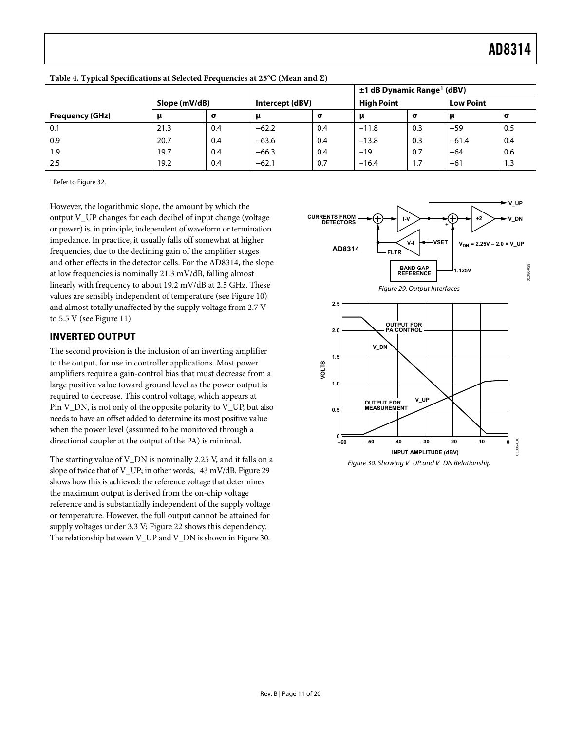|                        |               |          |                 |     | ±1 dB Dynamic Range <sup>1</sup> (dBV) |     |                  |     |
|------------------------|---------------|----------|-----------------|-----|----------------------------------------|-----|------------------|-----|
|                        | Slope (mV/dB) |          | Intercept (dBV) |     | <b>High Point</b>                      |     | <b>Low Point</b> |     |
| <b>Frequency (GHz)</b> |               | $\sigma$ |                 | σ   |                                        | σ   | μ                | σ   |
| 0.1                    | 21.3          | 0.4      | $-62.2$         | 0.4 | $-11.8$                                | 0.3 | $-59$            | 0.5 |
| 0.9                    | 20.7          | 0.4      | $-63.6$         | 0.4 | $-13.8$                                | 0.3 | $-61.4$          | 0.4 |
| 1.9                    | 19.7          | 0.4      | $-66.3$         | 0.4 | $-19$                                  | 0.7 | $-64$            | 0.6 |
| 2.5                    | 19.2          | 0.4      | $-62.1$         | 0.7 | $-16.4$                                | 1.7 | $-61$            | 1.3 |

<span id="page-11-1"></span><span id="page-11-0"></span>**Table 4. Typical Specifications at Selected Frequencies at 25°C (Mean and Σ)** 

1 Refer t[o Figure 32.](#page-12-2) 

However, the logarithmic slope, the amount by which the output V\_UP changes for each decibel of input change (voltage or power) is, in principle, independent of waveform or termination impedance. In practice, it usually falls off somewhat at higher frequencies, due to the declining gain of the amplifier stages and other effects in the detector cells. For the AD8314, the slope at low frequencies is nominally 21.3 mV/dB, falling almost linearly with frequency to about 19.2 mV/dB at 2.5 GHz. These values are sensibly independent of temperature (see [Figure 10](#page-7-1)) and almost totally unaffected by the supply voltage from 2.7 V to 5.5 V (see [Figure 11\)](#page-7-0).

### <span id="page-11-2"></span>**INVERTED OUTPUT**

The second provision is the inclusion of an inverting amplifier to the output, for use in controller applications. Most power amplifiers require a gain-control bias that must decrease from a large positive value toward ground level as the power output is required to decrease. This control voltage, which appears at Pin V\_DN, is not only of the opposite polarity to V\_UP, but also needs to have an offset added to determine its most positive value when the power level (assumed to be monitored through a directional coupler at the output of the PA) is minimal.

<span id="page-11-3"></span>The starting value of V\_DN is nominally 2.25 V, and it falls on a slope of twice that of V\_UP; in other words,−43 mV/dB. [Figure 29](#page-11-2) shows how this is achieved: the reference voltage that determines the maximum output is derived from the on-chip voltage reference and is substantially independent of the supply voltage or temperature. However, the full output cannot be attained for supply voltages under 3.3 V; [Figure 22](#page-9-1) shows this dependency. The relationship between V\_UP and V\_DN is shown in [Figure 30.](#page-11-3)





Figure 30. Showing V\_UP and V\_DN Relationship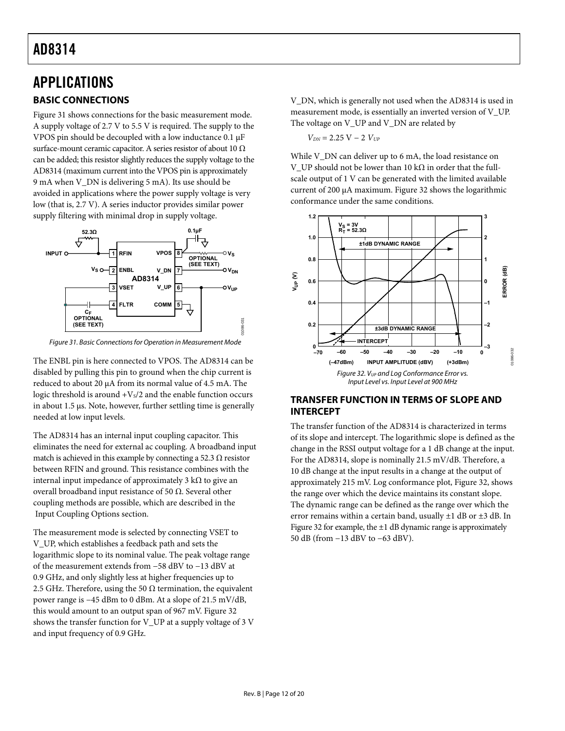# <span id="page-12-2"></span><span id="page-12-1"></span><span id="page-12-0"></span>APPLICATIONS **BASIC CONNECTIONS**

[Figure 31](#page-12-3) shows connections for the basic measurement mode. A supply voltage of 2.7 V to 5.5 V is required. The supply to the VPOS pin should be decoupled with a low inductance 0.1 μF surface-mount ceramic capacitor. A series resistor of about 10  $\Omega$ can be added; this resistor slightly reduces the supply voltage to the AD8314 (maximum current into the VPOS pin is approximately 9 mA when V\_DN is delivering 5 mA). Its use should be avoided in applications where the power supply voltage is very low (that is, 2.7 V). A series inductor provides similar power supply filtering with minimal drop in supply voltage.



Figure 31. Basic Connections for Operation in Measurement Mode

<span id="page-12-4"></span><span id="page-12-3"></span>The ENBL pin is here connected to VPOS. The AD8314 can be disabled by pulling this pin to ground when the chip current is reduced to about 20 μA from its normal value of 4.5 mA. The logic threshold is around  $+V<sub>s</sub>/2$  and the enable function occurs in about 1.5 μs. Note, however, further settling time is generally needed at low input levels.

The AD8314 has an internal input coupling capacitor. This eliminates the need for external ac coupling. A broadband input match is achieved in this example by connecting a 52.3  $\Omega$  resistor between RFIN and ground. This resistance combines with the internal input impedance of approximately 3 kΩ to give an overall broadband input resistance of 50 Ω. Several other coupling methods are possible, which are described in the [Input Coupling Options](#page-14-1) section.

The measurement mode is selected by connecting VSET to V\_UP, which establishes a feedback path and sets the logarithmic slope to its nominal value. The peak voltage range of the measurement extends from −58 dBV to −13 dBV at 0.9 GHz, and only slightly less at higher frequencies up to 2.5 GHz. Therefore, using the 50  $\Omega$  termination, the equivalent power range is −45 dBm to 0 dBm. At a slope of 21.5 mV/dB, this would amount to an output span of 967 mV. [Figure 32](#page-12-4) shows the transfer function for V\_UP at a supply voltage of 3 V and input frequency of 0.9 GHz.

V\_DN, which is generally not used when the AD8314 is used in measurement mode, is essentially an inverted version of V\_UP. The voltage on V\_UP and V\_DN are related by

*V<sub>DN</sub>* = 2.25 *V* − 2 *V<sub>UP</sub>* 

While V\_DN can deliver up to 6 mA, the load resistance on V\_UP should not be lower than 10 kΩ in order that the fullscale output of 1 V can be generated with the limited available current of 200 μA maximum. [Figure 32](#page-12-4) shows the logarithmic conformance under the same conditions.



### **TRANSFER FUNCTION IN TERMS OF SLOPE AND INTERCEPT**

The transfer function of the AD8314 is characterized in terms of its slope and intercept. The logarithmic slope is defined as the change in the RSSI output voltage for a 1 dB change at the input. For the AD8314, slope is nominally 21.5 mV/dB. Therefore, a 10 dB change at the input results in a change at the output of approximately 215 mV. Log conformance plot, [Figure 32](#page-12-4), shows the range over which the device maintains its constant slope. The dynamic range can be defined as the range over which the error remains within a certain band, usually  $\pm 1$  dB or  $\pm 3$  dB. In [Figure 32](#page-12-4) for example, the ±1 dB dynamic range is approximately 50 dB (from −13 dBV to −63 dBV).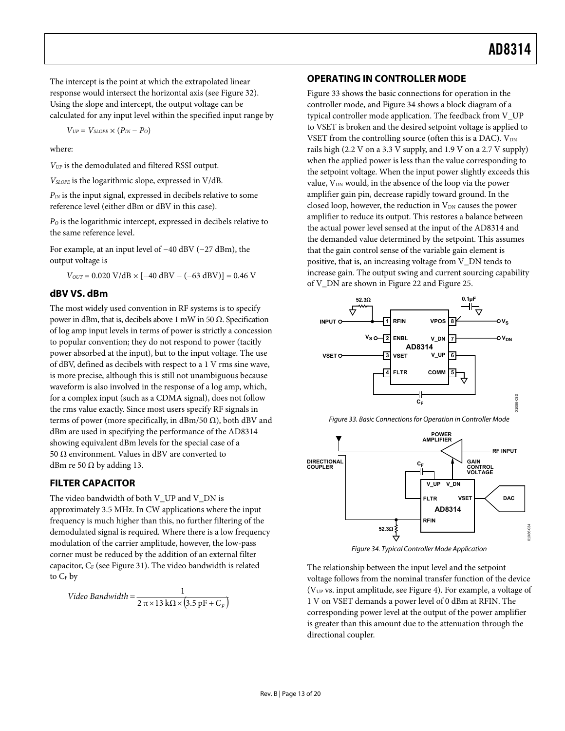<span id="page-13-0"></span>The intercept is the point at which the extrapolated linear response would intersect the horizontal axis (see [Figure 32](#page-12-4)). Using the slope and intercept, the output voltage can be calculated for any input level within the specified input range by

$$
V_{UP} = V_{SLOPE} \times (P_{IN} - P_{O})
$$

where:

*VUP* is the demodulated and filtered RSSI output.

*VSLOPE* is the logarithmic slope, expressed in V/dB.

*PIN* is the input signal, expressed in decibels relative to some reference level (either dBm or dBV in this case).

*PO* is the logarithmic intercept, expressed in decibels relative to the same reference level.

For example, at an input level of −40 dBV (−27 dBm), the output voltage is

 $V_{OUT} = 0.020 \text{ V}/\text{dB} \times [-40 \text{ dBV} - (-63 \text{ dBV})] = 0.46 \text{ V}$ 

#### **dBV VS. dBm**

The most widely used convention in RF systems is to specify power in dBm, that is, decibels above 1 mW in 50  $Ω$ . Specification of log amp input levels in terms of power is strictly a concession to popular convention; they do not respond to power (tacitly power absorbed at the input), but to the input voltage. The use of dBV, defined as decibels with respect to a 1 V rms sine wave, is more precise, although this is still not unambiguous because waveform is also involved in the response of a log amp, which, for a complex input (such as a CDMA signal), does not follow the rms value exactly. Since most users specify RF signals in terms of power (more specifically, in dBm/50  $\Omega$ ), both dBV and dBm are used in specifying the performance of the AD8314 showing equivalent dBm levels for the special case of a 50 Ω environment. Values in dBV are converted to dBm re 50  $\Omega$  by adding 13.

#### <span id="page-13-1"></span>**FILTER CAPACITOR**

<span id="page-13-2"></span>The video bandwidth of both V\_UP and V\_DN is approximately 3.5 MHz. In CW applications where the input frequency is much higher than this, no further filtering of the demodulated signal is required. Where there is a low frequency modulation of the carrier amplitude, however, the low-pass corner must be reduced by the addition of an external filter capacitor,  $C_F$  (see [Figure 31](#page-12-3)). The video bandwidth is related to  $C_F$  by

$$
Video\;Bandwidth = \frac{1}{2\,\pi \times 13\,k\Omega \times (3.5\,\text{pF} + C_F)}
$$

#### **OPERATING IN CONTROLLER MODE**

[Figure 33](#page-13-1) shows the basic connections for operation in the controller mode, and [Figure 34](#page-13-2) shows a block diagram of a typical controller mode application. The feedback from V\_UP to VSET is broken and the desired setpoint voltage is applied to VSET from the controlling source (often this is a DAC).  $V_{DN}$ rails high (2.2 V on a 3.3 V supply, and 1.9 V on a 2.7 V supply) when the applied power is less than the value corresponding to the setpoint voltage. When the input power slightly exceeds this value, V<sub>DN</sub> would, in the absence of the loop via the power amplifier gain pin, decrease rapidly toward ground. In the closed loop, however, the reduction in  $V_{DN}$  causes the power amplifier to reduce its output. This restores a balance between the actual power level sensed at the input of the AD8314 and the demanded value determined by the setpoint. This assumes that the gain control sense of the variable gain element is positive, that is, an increasing voltage from V\_DN tends to increase gain. The output swing and current sourcing capability of V\_DN are shown in [Figure 22](#page-9-1) and [Figure 25](#page-9-1).







Figure 34. Typical Controller Mode Application

The relationship between the input level and the setpoint voltage follows from the nominal transfer function of the device (VUP vs. input amplitude, see [Figure 4](#page-6-1)). For example, a voltage of 1 V on VSET demands a power level of 0 dBm at RFIN. The corresponding power level at the output of the power amplifier is greater than this amount due to the attenuation through the directional coupler.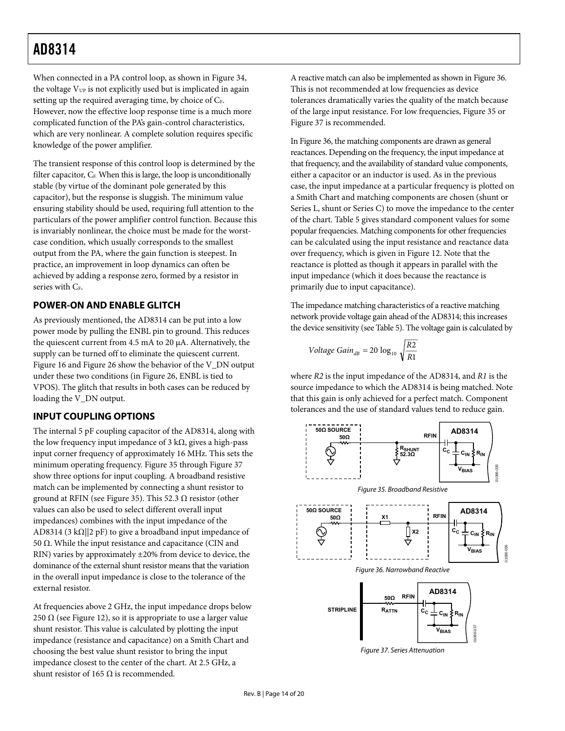<span id="page-14-0"></span>When connected in a PA control loop, as shown in [Figure 34](#page-13-2), the voltage  $V_{UP}$  is not explicitly used but is implicated in again setting up the required averaging time, by choice of  $C_F$ . However, now the effective loop response time is a much more complicated function of the PA's gain-control characteristics, which are very nonlinear. A complete solution requires specific knowledge of the power amplifier.

The transient response of this control loop is determined by the filter capacitor,  $C_F$ . When this is large, the loop is unconditionally stable (by virtue of the dominant pole generated by this capacitor), but the response is sluggish. The minimum value ensuring stability should be used, requiring full attention to the particulars of the power amplifier control function. Because this is invariably nonlinear, the choice must be made for the worstcase condition, which usually corresponds to the smallest output from the PA, where the gain function is steepest. In practice, an improvement in loop dynamics can often be achieved by adding a response zero, formed by a resistor in series with  $C_F$ .

## **POWER-ON AND ENABLE GLITCH**

As previously mentioned, the AD8314 can be put into a low power mode by pulling the ENBL pin to ground. This reduces the quiescent current from 4.5 mA to 20 μA. Alternatively, the supply can be turned off to eliminate the quiescent current. [Figure 16](#page-8-0) and [Figure 26](#page-9-2) show the behavior of the V\_DN output under these two conditions (in [Figure 26](#page-9-2), ENBL is tied to VPOS). The glitch that results in both cases can be reduced by loading the V\_DN output.

# <span id="page-14-1"></span>**INPUT COUPLING OPTIONS**

<span id="page-14-2"></span>The internal 5 pF coupling capacitor of the AD8314, along with the low frequency input impedance of 3 kΩ, gives a high-pass input corner frequency of approximately 16 MHz. This sets the minimum operating frequency. [Figure 35](#page-14-2) through [Figure 37](#page-14-3) show three options for input coupling. A broadband resistive match can be implemented by connecting a shunt resistor to ground at RFIN (see [Figure 35](#page-14-2)). This 52.3  $\Omega$  resistor (other values can also be used to select different overall input impedances) combines with the input impedance of the AD8314 (3 kΩ||2 pF) to give a broadband input impedance of 50  $Ω$ . While the input resistance and capacitance (CIN and RIN) varies by approximately ±20% from device to device, the dominance of the external shunt resistor means that the variation in the overall input impedance is close to the tolerance of the external resistor.

<span id="page-14-4"></span><span id="page-14-3"></span>At frequencies above 2 GHz, the input impedance drops below 250  $\Omega$  (see [Figure 12\)](#page-7-2), so it is appropriate to use a larger value shunt resistor. This value is calculated by plotting the input impedance (resistance and capacitance) on a Smith Chart and choosing the best value shunt resistor to bring the input impedance closest to the center of the chart. At 2.5 GHz, a shunt resistor of 165  $Ω$  is recommended.

A reactive match can also be implemented as shown in [Figure 36](#page-14-4). This is not recommended at low frequencies as device tolerances dramatically varies the quality of the match because of the large input resistance. For low frequencies, [Figure 35](#page-14-2) or [Figure 37](#page-14-3) is recommended.

In [Figure 36,](#page-14-4) the matching components are drawn as general reactances. Depending on the frequency, the input impedance at that frequency, and the availability of standard value components, either a capacitor or an inductor is used. As in the previous case, the input impedance at a particular frequency is plotted on a Smith Chart and matching components are chosen (shunt or Series L, shunt or Series C) to move the impedance to the center of the chart. [Table 5](#page-15-1) gives standard component values for some popular frequencies. Matching components for other frequencies can be calculated using the input resistance and reactance data over frequency, which is given in [Figure 12.](#page-7-2) Note that the reactance is plotted as though it appears in parallel with the input impedance (which it does because the reactance is primarily due to input capacitance).

The impedance matching characteristics of a reactive matching network provide voltage gain ahead of the AD8314; this increases the device sensitivity (see [Table 5](#page-15-1)). The voltage gain is calculated by

$$
Voltage Gain_{dB} = 20 log_{10} \sqrt{\frac{R2}{R1}}
$$

where *R2* is the input impedance of the AD8314, and *R1* is the source impedance to which the AD8314 is being matched. Note that this gain is only achieved for a perfect match. Component tolerances and the use of standard values tend to reduce gain.



Figure 37. Series Attenuation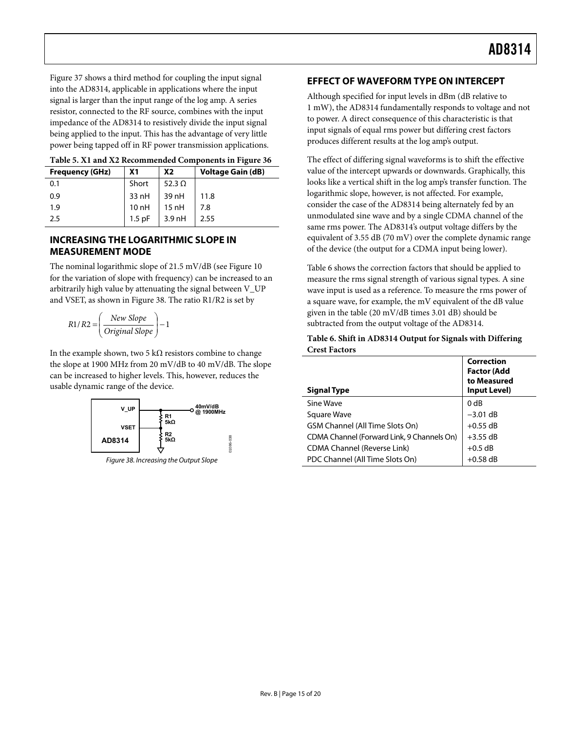<span id="page-15-0"></span>[Figure 37](#page-14-3) shows a third method for coupling the input signal into the AD8314, applicable in applications where the input signal is larger than the input range of the log amp. A series resistor, connected to the RF source, combines with the input impedance of the AD8314 to resistively divide the input signal being applied to the input. This has the advantage of very little power being tapped off in RF power transmission applications.

<span id="page-15-1"></span>

| Table 9. AT and A2 Recommended Components in Figure 90 |          |               |                          |  |  |  |  |  |
|--------------------------------------------------------|----------|---------------|--------------------------|--|--|--|--|--|
| <b>Frequency (GHz)</b>                                 | Χ1       | <b>X2</b>     | <b>Voltage Gain (dB)</b> |  |  |  |  |  |
| 0.1                                                    | Short    | 52.3 $\Omega$ |                          |  |  |  |  |  |
| 0.9                                                    | 33 nH    | 39 nH         | 11.8                     |  |  |  |  |  |
| 1.9                                                    | 10nH     | $15$ nH       | 7.8                      |  |  |  |  |  |
| 2.5                                                    | $1.5$ pF | $3.9$ nH      | 2.55                     |  |  |  |  |  |

| Table 5. X1 and X2 Recommended Components in Figure 36 |  |  |  |
|--------------------------------------------------------|--|--|--|
|                                                        |  |  |  |

### <span id="page-15-4"></span>**INCREASING THE LOGARITHMIC SLOPE IN MEASUREMENT MODE**

The nominal logarithmic slope of 21.5 mV/dB (see [Figure 10](#page-7-1) for the variation of slope with frequency) can be increased to an arbitrarily high value by attenuating the signal between V\_UP and VSET, as shown in [Figure 38](#page-15-2). The ratio R1/R2 is set by

$$
R1/R2 = \left(\frac{New Slope}{Original Slope}\right) - 1
$$

<span id="page-15-3"></span>In the example shown, two 5 k $\Omega$  resistors combine to change the slope at 1900 MHz from 20 mV/dB to 40 mV/dB. The slope can be increased to higher levels. This, however, reduces the usable dynamic range of the device.



<span id="page-15-2"></span>Figure 38. Increasing the Output Slope

### **EFFECT OF WAVEFORM TYPE ON INTERCEPT**

Although specified for input levels in dBm (dB relative to 1 mW), the AD8314 fundamentally responds to voltage and not to power. A direct consequence of this characteristic is that input signals of equal rms power but differing crest factors produces different results at the log amp's output.

The effect of differing signal waveforms is to shift the effective value of the intercept upwards or downwards. Graphically, this looks like a vertical shift in the log amp's transfer function. The logarithmic slope, however, is not affected. For example, consider the case of the AD8314 being alternately fed by an unmodulated sine wave and by a single CDMA channel of the same rms power. The AD8314's output voltage differs by the equivalent of 3.55 dB (70 mV) over the complete dynamic range of the device (the output for a CDMA input being lower).

[Table 6](#page-15-3) shows the correction factors that should be applied to measure the rms signal strength of various signal types. A sine wave input is used as a reference. To measure the rms power of a square wave, for example, the mV equivalent of the dB value given in the table (20 mV/dB times 3.01 dB) should be subtracted from the output voltage of the AD8314.

#### **Table 6. Shift in AD8314 Output for Signals with Differing Crest Factors**

| <b>Signal Type</b>                         | Correction<br><b>Factor (Add</b><br>to Measured<br>Input Level) |
|--------------------------------------------|-----------------------------------------------------------------|
| Sine Wave                                  | 0 <sub>d</sub> B                                                |
| Square Wave                                | $-3.01$ dB                                                      |
| <b>GSM Channel (All Time Slots On)</b>     | $+0.55$ dB                                                      |
| CDMA Channel (Forward Link, 9 Channels On) | $+3.55$ dB                                                      |
| CDMA Channel (Reverse Link)                | $+0.5$ dB                                                       |
| PDC Channel (All Time Slots On)            | $+0.58$ dB                                                      |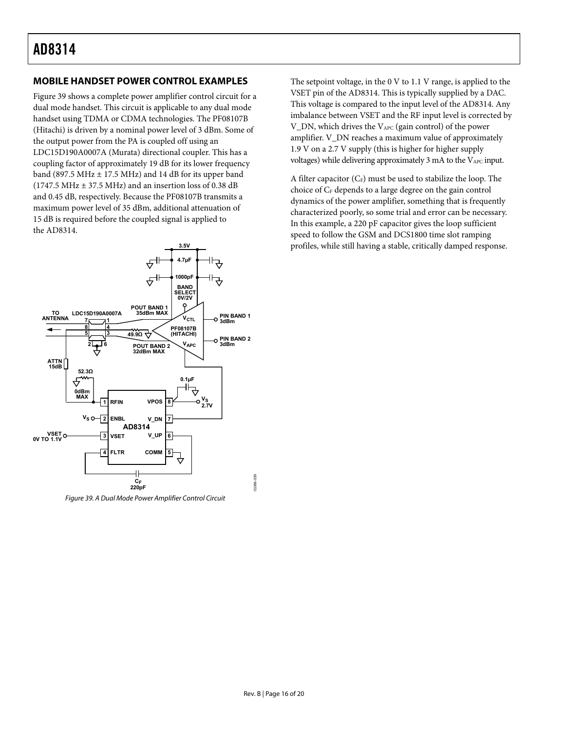### <span id="page-16-0"></span>**MOBILE HANDSET POWER CONTROL EXAMPLES**

[Figure 39](#page-16-1) shows a complete power amplifier control circuit for a dual mode handset. This circuit is applicable to any dual mode handset using TDMA or CDMA technologies. The PF08107B (Hitachi) is driven by a nominal power level of 3 dBm. Some of the output power from the PA is coupled off using an LDC15D190A0007A (Murata) directional coupler. This has a coupling factor of approximately 19 dB for its lower frequency band (897.5 MHz  $\pm$  17.5 MHz) and 14 dB for its upper band  $(1747.5 \text{ MHz} \pm 37.5 \text{ MHz})$  and an insertion loss of 0.38 dB and 0.45 dB, respectively. Because the PF08107B transmits a maximum power level of 35 dBm, additional attenuation of 15 dB is required before the coupled signal is applied to the AD8314.



<span id="page-16-1"></span>Figure 39. A Dual Mode Power Amplifier Control Circuit

The setpoint voltage, in the 0 V to 1.1 V range, is applied to the VSET pin of the AD8314. This is typically supplied by a DAC. This voltage is compared to the input level of the AD8314. Any imbalance between VSET and the RF input level is corrected by V\_DN, which drives the VAPC (gain control) of the power amplifier. V\_DN reaches a maximum value of approximately 1.9 V on a 2.7 V supply (this is higher for higher supply voltages) while delivering approximately 3 mA to the VAPC input.

A filter capacitor  $(C_F)$  must be used to stabilize the loop. The choice of  $C_F$  depends to a large degree on the gain control dynamics of the power amplifier, something that is frequently characterized poorly, so some trial and error can be necessary. In this example, a 220 pF capacitor gives the loop sufficient speed to follow the GSM and DCS1800 time slot ramping profiles, while still having a stable, critically damped response.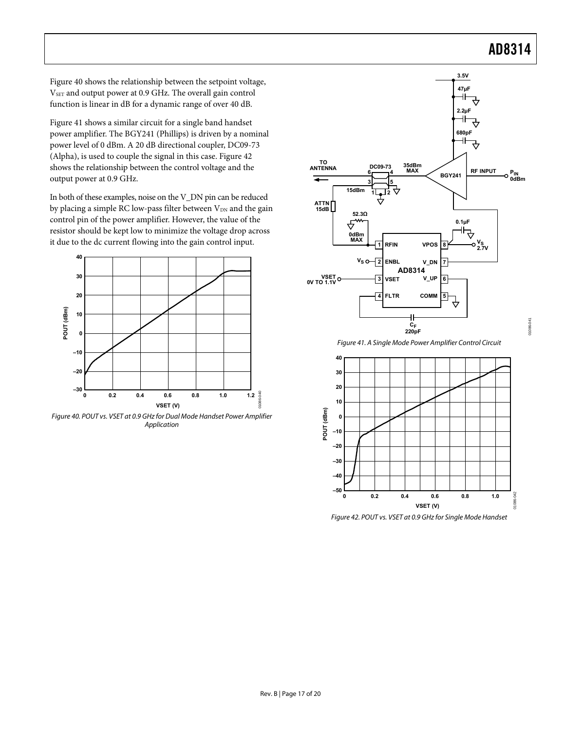01086-041

[Figure 40](#page-17-0) shows the relationship between the setpoint voltage, VSET and output power at 0.9 GHz. The overall gain control function is linear in dB for a dynamic range of over 40 dB.

[Figure 41](#page-17-1) shows a similar circuit for a single band handset power amplifier. The BGY241 (Phillips) is driven by a nominal power level of 0 dBm. A 20 dB directional coupler, DC09-73 (Alpha), is used to couple the signal in this case. [Figure 42](#page-17-2) shows the relationship between the control voltage and the output power at 0.9 GHz.

In both of these examples, noise on the V\_DN pin can be reduced by placing a simple RC low-pass filter between  $V_{DN}$  and the gain control pin of the power amplifier. However, the value of the resistor should be kept low to minimize the voltage drop across it due to the dc current flowing into the gain control input.



<span id="page-17-2"></span><span id="page-17-1"></span><span id="page-17-0"></span>Figure 40. POUT vs. VSET at 0.9 GHz for Dual Mode Handset Power Amplifier Application



Figure 41. A Single Mode Power Amplifier Control Circuit



Figure 42. POUT vs. VSET at 0.9 GHz for Single Mode Handset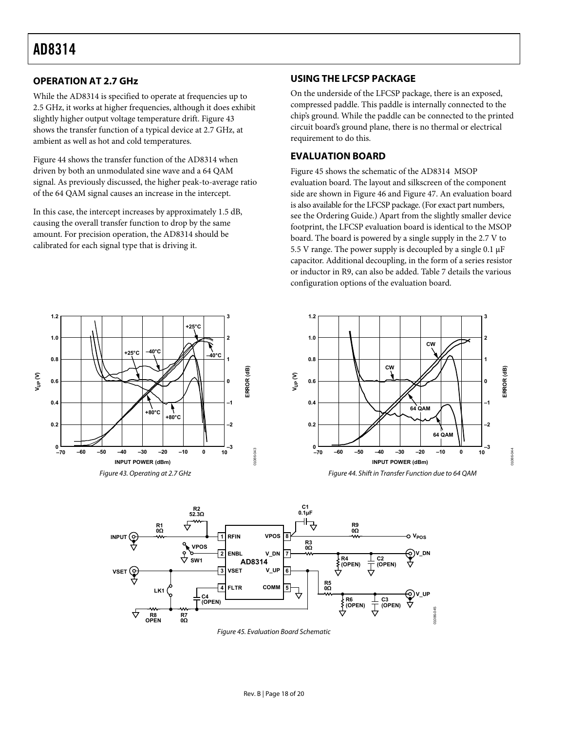### <span id="page-18-0"></span>**OPERATION AT 2.7 GHz**

While the AD8314 is specified to operate at frequencies up to 2.5 GHz, it works at higher frequencies, although it does exhibit slightly higher output voltage temperature drift. [Figure 43](#page-18-1) shows the transfer function of a typical device at 2.7 GHz, at ambient as well as hot and cold temperatures.

[Figure 44](#page-18-1) shows the transfer function of the AD8314 when driven by both an unmodulated sine wave and a 64 QAM signal. As previously discussed, the higher peak-to-average ratio of the 64 QAM signal causes an increase in the intercept.

In this case, the intercept increases by approximately 1.5 dB, causing the overall transfer function to drop by the same amount. For precision operation, the AD8314 should be calibrated for each signal type that is driving it.

### **USING THE LFCSP PACKAGE**

On the underside of the LFCSP package, there is an exposed, compressed paddle. This paddle is internally connected to the chip's ground. While the paddle can be connected to the printed circuit board's ground plane, there is no thermal or electrical requirement to do this.

### **EVALUATION BOARD**

[Figure 45](#page-18-2) shows the schematic of the AD8314 MSOP evaluation board. The layout and silkscreen of the component side are shown in [Figure 46](#page-19-0) and [Figure 47](#page-19-1). An evaluation board is also available for the LFCSP package. (For exact part numbers, see the [Ordering Guide.](#page-20-2)) Apart from the slightly smaller device footprint, the LFCSP evaluation board is identical to the MSOP board. The board is powered by a single supply in the 2.7 V to 5.5 V range. The power supply is decoupled by a single 0.1 μF capacitor. Additional decoupling, in the form of a series resistor or inductor in R9, can also be added. [Table 7](#page-19-2) details the various configuration options of the evaluation board.





<span id="page-18-2"></span><span id="page-18-1"></span>

Figure 45. Evaluation Board Schematic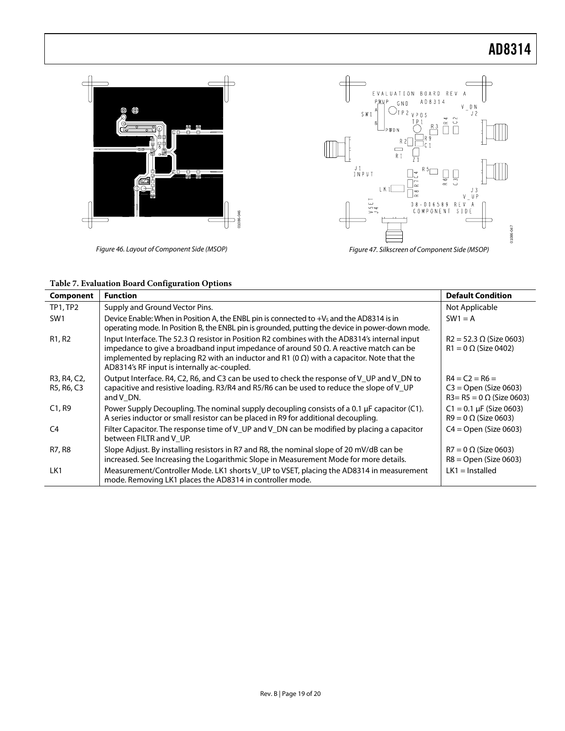

<span id="page-19-1"></span><span id="page-19-0"></span>

|  |  |  | Table 7. Evaluation Board Configuration Options |  |
|--|--|--|-------------------------------------------------|--|
|--|--|--|-------------------------------------------------|--|

<span id="page-19-2"></span>

| <b>Component</b>                | <b>Function</b>                                                                                                                                                                                                                                                                                                                                           | <b>Default Condition</b>                                                        |
|---------------------------------|-----------------------------------------------------------------------------------------------------------------------------------------------------------------------------------------------------------------------------------------------------------------------------------------------------------------------------------------------------------|---------------------------------------------------------------------------------|
| TP1, TP2                        | Supply and Ground Vector Pins.                                                                                                                                                                                                                                                                                                                            | Not Applicable                                                                  |
| SW <sub>1</sub>                 | Device Enable: When in Position A, the ENBL pin is connected to $+V_s$ and the AD8314 is in<br>operating mode. In Position B, the ENBL pin is grounded, putting the device in power-down mode.                                                                                                                                                            | $SW1 = A$                                                                       |
| R <sub>1</sub> , R <sub>2</sub> | Input Interface. The 52.3 $\Omega$ resistor in Position R2 combines with the AD8314's internal input<br>impedance to give a broadband input impedance of around 50 $\Omega$ . A reactive match can be<br>implemented by replacing R2 with an inductor and R1 (0 $\Omega$ ) with a capacitor. Note that the<br>AD8314's RF input is internally ac-coupled. | $R2 = 52.3 \Omega$ (Size 0603)<br>$R1 = 0 \Omega$ (Size 0402)                   |
| R3, R4, C2,<br>R5, R6, C3       | Output Interface. R4, C2, R6, and C3 can be used to check the response of V UP and V DN to<br>capacitive and resistive loading. R3/R4 and R5/R6 can be used to reduce the slope of V_UP<br>and V DN.                                                                                                                                                      | $R4 = C2 = R6 =$<br>$C3 = Open (Size 0603)$<br>$R3 = R5 = 0 \Omega$ (Size 0603) |
| C1, R9                          | Power Supply Decoupling. The nominal supply decoupling consists of a 0.1 $\mu$ F capacitor (C1).<br>A series inductor or small resistor can be placed in R9 for additional decoupling.                                                                                                                                                                    | $C1 = 0.1 \mu F$ (Size 0603)<br>$R9 = 0 \Omega$ (Size 0603)                     |
| C4                              | Filter Capacitor. The response time of V UP and V DN can be modified by placing a capacitor<br>between FILTR and V UP.                                                                                                                                                                                                                                    | $C4 = Open (Size 0603)$                                                         |
| R7, R8                          | Slope Adjust. By installing resistors in R7 and R8, the nominal slope of 20 mV/dB can be<br>increased. See Increasing the Logarithmic Slope in Measurement Mode for more details.                                                                                                                                                                         | $R7 = 0 \Omega$ (Size 0603)<br>$R8 =$ Open (Size 0603)                          |
| LK1                             | Measurement/Controller Mode. LK1 shorts V_UP to VSET, placing the AD8314 in measurement<br>mode. Removing LK1 places the AD8314 in controller mode.                                                                                                                                                                                                       | $LK1 =$ Installed                                                               |